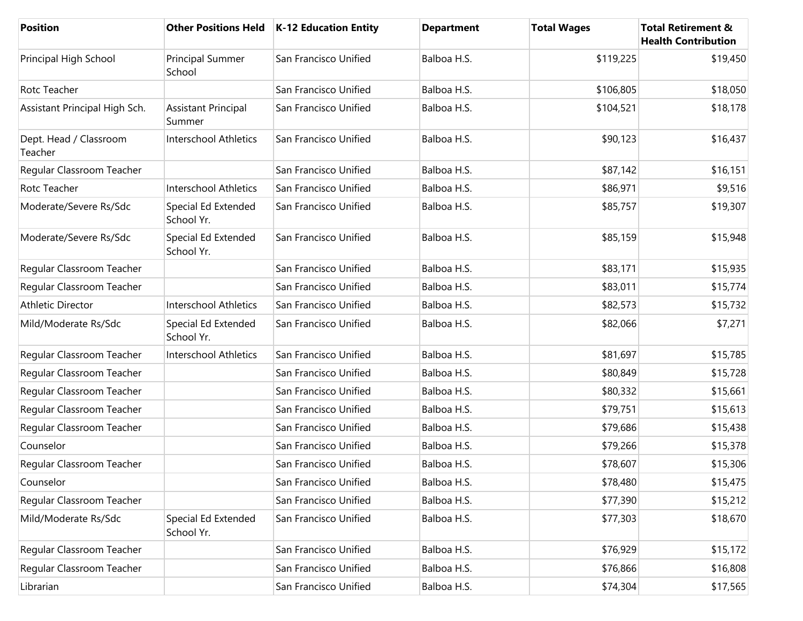| Position                          |                                      | Other Positions Held   K-12 Education Entity | <b>Department</b> | <b>Total Wages</b> | <b>Total Retirement &amp;</b><br><b>Health Contribution</b> |
|-----------------------------------|--------------------------------------|----------------------------------------------|-------------------|--------------------|-------------------------------------------------------------|
| Principal High School             | <b>Principal Summer</b><br>School    | San Francisco Unified                        | Balboa H.S.       | \$119,225          | \$19,450                                                    |
| Rotc Teacher                      |                                      | San Francisco Unified                        | Balboa H.S.       | \$106,805          | \$18,050                                                    |
| Assistant Principal High Sch.     | <b>Assistant Principal</b><br>Summer | San Francisco Unified                        | Balboa H.S.       | \$104,521          | \$18,178                                                    |
| Dept. Head / Classroom<br>Teacher | <b>Interschool Athletics</b>         | San Francisco Unified                        | Balboa H.S.       | \$90,123           | \$16,437                                                    |
| Regular Classroom Teacher         |                                      | San Francisco Unified                        | Balboa H.S.       | \$87,142           | \$16,151                                                    |
| Rotc Teacher                      | <b>Interschool Athletics</b>         | San Francisco Unified                        | Balboa H.S.       | \$86,971           | \$9,516                                                     |
| Moderate/Severe Rs/Sdc            | Special Ed Extended<br>School Yr.    | San Francisco Unified                        | Balboa H.S.       | \$85,757           | \$19,307                                                    |
| Moderate/Severe Rs/Sdc            | Special Ed Extended<br>School Yr.    | San Francisco Unified                        | Balboa H.S.       | \$85,159           | \$15,948                                                    |
| Regular Classroom Teacher         |                                      | San Francisco Unified                        | Balboa H.S.       | \$83,171           | \$15,935                                                    |
| Regular Classroom Teacher         |                                      | San Francisco Unified                        | Balboa H.S.       | \$83,011           | \$15,774                                                    |
| <b>Athletic Director</b>          | <b>Interschool Athletics</b>         | San Francisco Unified                        | Balboa H.S.       | \$82,573           | \$15,732                                                    |
| Mild/Moderate Rs/Sdc              | Special Ed Extended<br>School Yr.    | San Francisco Unified                        | Balboa H.S.       | \$82,066           | \$7,271                                                     |
| Regular Classroom Teacher         | <b>Interschool Athletics</b>         | San Francisco Unified                        | Balboa H.S.       | \$81,697           | \$15,785                                                    |
| Regular Classroom Teacher         |                                      | San Francisco Unified                        | Balboa H.S.       | \$80,849           | \$15,728                                                    |
| Regular Classroom Teacher         |                                      | San Francisco Unified                        | Balboa H.S.       | \$80,332           | \$15,661                                                    |
| Regular Classroom Teacher         |                                      | San Francisco Unified                        | Balboa H.S.       | \$79,751           | \$15,613                                                    |
| Regular Classroom Teacher         |                                      | San Francisco Unified                        | Balboa H.S.       | \$79,686           | \$15,438                                                    |
| Counselor                         |                                      | San Francisco Unified                        | Balboa H.S.       | \$79,266           | \$15,378                                                    |
| Regular Classroom Teacher         |                                      | San Francisco Unified                        | Balboa H.S.       | \$78,607           | \$15,306                                                    |
| Counselor                         |                                      | San Francisco Unified                        | Balboa H.S.       | \$78,480           | \$15,475                                                    |
| Regular Classroom Teacher         |                                      | San Francisco Unified                        | Balboa H.S.       | \$77,390           | \$15,212                                                    |
| Mild/Moderate Rs/Sdc              | Special Ed Extended<br>School Yr.    | San Francisco Unified                        | Balboa H.S.       | \$77,303           | \$18,670                                                    |
| Regular Classroom Teacher         |                                      | San Francisco Unified                        | Balboa H.S.       | \$76,929           | \$15,172                                                    |
| Regular Classroom Teacher         |                                      | San Francisco Unified                        | Balboa H.S.       | \$76,866           | \$16,808                                                    |
| Librarian                         |                                      | San Francisco Unified                        | Balboa H.S.       | \$74,304           | \$17,565                                                    |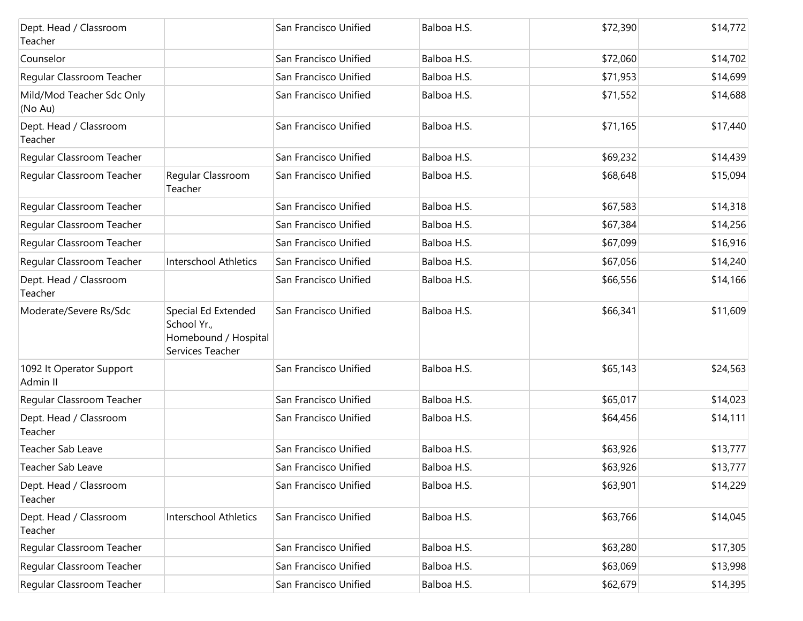| Dept. Head / Classroom<br>Teacher    |                                                                                | San Francisco Unified | Balboa H.S. | \$72,390 | \$14,772 |
|--------------------------------------|--------------------------------------------------------------------------------|-----------------------|-------------|----------|----------|
| Counselor                            |                                                                                | San Francisco Unified | Balboa H.S. | \$72,060 | \$14,702 |
| Regular Classroom Teacher            |                                                                                | San Francisco Unified | Balboa H.S. | \$71,953 | \$14,699 |
| Mild/Mod Teacher Sdc Only<br>(No Au) |                                                                                | San Francisco Unified | Balboa H.S. | \$71,552 | \$14,688 |
| Dept. Head / Classroom<br>Teacher    |                                                                                | San Francisco Unified | Balboa H.S. | \$71,165 | \$17,440 |
| Regular Classroom Teacher            |                                                                                | San Francisco Unified | Balboa H.S. | \$69,232 | \$14,439 |
| Regular Classroom Teacher            | Regular Classroom<br>Teacher                                                   | San Francisco Unified | Balboa H.S. | \$68,648 | \$15,094 |
| Regular Classroom Teacher            |                                                                                | San Francisco Unified | Balboa H.S. | \$67,583 | \$14,318 |
| Regular Classroom Teacher            |                                                                                | San Francisco Unified | Balboa H.S. | \$67,384 | \$14,256 |
| Regular Classroom Teacher            |                                                                                | San Francisco Unified | Balboa H.S. | \$67,099 | \$16,916 |
| Regular Classroom Teacher            | Interschool Athletics                                                          | San Francisco Unified | Balboa H.S. | \$67,056 | \$14,240 |
| Dept. Head / Classroom<br>Teacher    |                                                                                | San Francisco Unified | Balboa H.S. | \$66,556 | \$14,166 |
| Moderate/Severe Rs/Sdc               | Special Ed Extended<br>School Yr.,<br>Homebound / Hospital<br>Services Teacher | San Francisco Unified | Balboa H.S. | \$66,341 | \$11,609 |
| 1092 It Operator Support<br>Admin II |                                                                                | San Francisco Unified | Balboa H.S. | \$65,143 | \$24,563 |
| Regular Classroom Teacher            |                                                                                | San Francisco Unified | Balboa H.S. | \$65,017 | \$14,023 |
| Dept. Head / Classroom<br>Teacher    |                                                                                | San Francisco Unified | Balboa H.S. | \$64,456 | \$14,111 |
| Teacher Sab Leave                    |                                                                                | San Francisco Unified | Balboa H.S. | \$63,926 | \$13,777 |
| Teacher Sab Leave                    |                                                                                | San Francisco Unified | Balboa H.S. | \$63,926 | \$13,777 |
| Dept. Head / Classroom<br>Teacher    |                                                                                | San Francisco Unified | Balboa H.S. | \$63,901 | \$14,229 |
| Dept. Head / Classroom<br>Teacher    | Interschool Athletics                                                          | San Francisco Unified | Balboa H.S. | \$63,766 | \$14,045 |
| Regular Classroom Teacher            |                                                                                | San Francisco Unified | Balboa H.S. | \$63,280 | \$17,305 |
| Regular Classroom Teacher            |                                                                                | San Francisco Unified | Balboa H.S. | \$63,069 | \$13,998 |
| Regular Classroom Teacher            |                                                                                | San Francisco Unified | Balboa H.S. | \$62,679 | \$14,395 |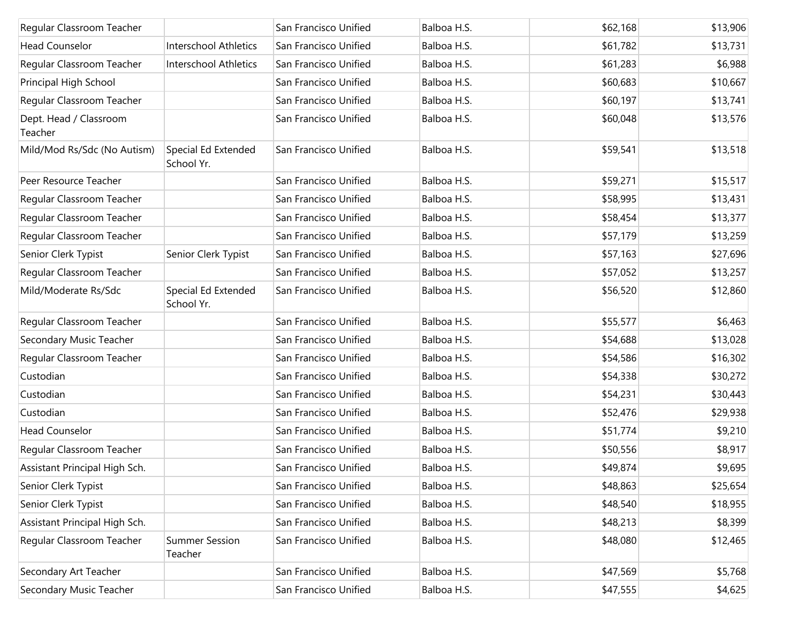| Regular Classroom Teacher         |                                   | San Francisco Unified | Balboa H.S. | \$62,168 | \$13,906 |
|-----------------------------------|-----------------------------------|-----------------------|-------------|----------|----------|
| <b>Head Counselor</b>             | <b>Interschool Athletics</b>      | San Francisco Unified | Balboa H.S. | \$61,782 | \$13,731 |
| Regular Classroom Teacher         | Interschool Athletics             | San Francisco Unified | Balboa H.S. | \$61,283 | \$6,988  |
| Principal High School             |                                   | San Francisco Unified | Balboa H.S. | \$60,683 | \$10,667 |
| Regular Classroom Teacher         |                                   | San Francisco Unified | Balboa H.S. | \$60,197 | \$13,741 |
| Dept. Head / Classroom<br>Teacher |                                   | San Francisco Unified | Balboa H.S. | \$60,048 | \$13,576 |
| Mild/Mod Rs/Sdc (No Autism)       | Special Ed Extended<br>School Yr. | San Francisco Unified | Balboa H.S. | \$59,541 | \$13,518 |
| Peer Resource Teacher             |                                   | San Francisco Unified | Balboa H.S. | \$59,271 | \$15,517 |
| Regular Classroom Teacher         |                                   | San Francisco Unified | Balboa H.S. | \$58,995 | \$13,431 |
| Regular Classroom Teacher         |                                   | San Francisco Unified | Balboa H.S. | \$58,454 | \$13,377 |
| Regular Classroom Teacher         |                                   | San Francisco Unified | Balboa H.S. | \$57,179 | \$13,259 |
| Senior Clerk Typist               | Senior Clerk Typist               | San Francisco Unified | Balboa H.S. | \$57,163 | \$27,696 |
| Regular Classroom Teacher         |                                   | San Francisco Unified | Balboa H.S. | \$57,052 | \$13,257 |
| Mild/Moderate Rs/Sdc              | Special Ed Extended<br>School Yr. | San Francisco Unified | Balboa H.S. | \$56,520 | \$12,860 |
| Regular Classroom Teacher         |                                   | San Francisco Unified | Balboa H.S. | \$55,577 | \$6,463  |
| Secondary Music Teacher           |                                   | San Francisco Unified | Balboa H.S. | \$54,688 | \$13,028 |
| Regular Classroom Teacher         |                                   | San Francisco Unified | Balboa H.S. | \$54,586 | \$16,302 |
| Custodian                         |                                   | San Francisco Unified | Balboa H.S. | \$54,338 | \$30,272 |
| Custodian                         |                                   | San Francisco Unified | Balboa H.S. | \$54,231 | \$30,443 |
| Custodian                         |                                   | San Francisco Unified | Balboa H.S. | \$52,476 | \$29,938 |
| <b>Head Counselor</b>             |                                   | San Francisco Unified | Balboa H.S. | \$51,774 | \$9,210  |
| Regular Classroom Teacher         |                                   | San Francisco Unified | Balboa H.S. | \$50,556 | \$8,917  |
| Assistant Principal High Sch.     |                                   | San Francisco Unified | Balboa H.S. | \$49,874 | \$9,695  |
| Senior Clerk Typist               |                                   | San Francisco Unified | Balboa H.S. | \$48,863 | \$25,654 |
| Senior Clerk Typist               |                                   | San Francisco Unified | Balboa H.S. | \$48,540 | \$18,955 |
| Assistant Principal High Sch.     |                                   | San Francisco Unified | Balboa H.S. | \$48,213 | \$8,399  |
| Regular Classroom Teacher         | <b>Summer Session</b><br>Teacher  | San Francisco Unified | Balboa H.S. | \$48,080 | \$12,465 |
| Secondary Art Teacher             |                                   | San Francisco Unified | Balboa H.S. | \$47,569 | \$5,768  |
| Secondary Music Teacher           |                                   | San Francisco Unified | Balboa H.S. | \$47,555 | \$4,625  |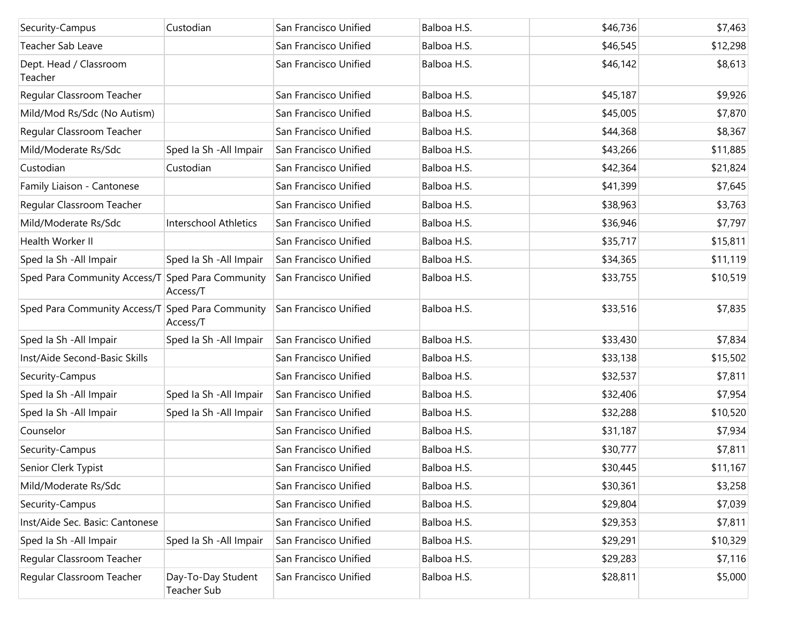| Security-Campus                                  | Custodian                         | San Francisco Unified | Balboa H.S. | \$46,736 | \$7,463  |
|--------------------------------------------------|-----------------------------------|-----------------------|-------------|----------|----------|
| <b>Teacher Sab Leave</b>                         |                                   | San Francisco Unified | Balboa H.S. | \$46,545 | \$12,298 |
| Dept. Head / Classroom<br>Teacher                |                                   | San Francisco Unified | Balboa H.S. | \$46,142 | \$8,613  |
| Regular Classroom Teacher                        |                                   | San Francisco Unified | Balboa H.S. | \$45,187 | \$9,926  |
| Mild/Mod Rs/Sdc (No Autism)                      |                                   | San Francisco Unified | Balboa H.S. | \$45,005 | \$7,870  |
| Regular Classroom Teacher                        |                                   | San Francisco Unified | Balboa H.S. | \$44,368 | \$8,367  |
| Mild/Moderate Rs/Sdc                             | Sped Ia Sh - All Impair           | San Francisco Unified | Balboa H.S. | \$43,266 | \$11,885 |
| Custodian                                        | Custodian                         | San Francisco Unified | Balboa H.S. | \$42,364 | \$21,824 |
| Family Liaison - Cantonese                       |                                   | San Francisco Unified | Balboa H.S. | \$41,399 | \$7,645  |
| Regular Classroom Teacher                        |                                   | San Francisco Unified | Balboa H.S. | \$38,963 | \$3,763  |
| Mild/Moderate Rs/Sdc                             | Interschool Athletics             | San Francisco Unified | Balboa H.S. | \$36,946 | \$7,797  |
| Health Worker II                                 |                                   | San Francisco Unified | Balboa H.S. | \$35,717 | \$15,811 |
| Sped Ia Sh - All Impair                          | Sped Ia Sh - All Impair           | San Francisco Unified | Balboa H.S. | \$34,365 | \$11,119 |
| Sped Para Community Access/T Sped Para Community | Access/T                          | San Francisco Unified | Balboa H.S. | \$33,755 | \$10,519 |
| Sped Para Community Access/T Sped Para Community | Access/T                          | San Francisco Unified | Balboa H.S. | \$33,516 | \$7,835  |
| Sped Ia Sh - All Impair                          | Sped Ia Sh - All Impair           | San Francisco Unified | Balboa H.S. | \$33,430 | \$7,834  |
| Inst/Aide Second-Basic Skills                    |                                   | San Francisco Unified | Balboa H.S. | \$33,138 | \$15,502 |
| Security-Campus                                  |                                   | San Francisco Unified | Balboa H.S. | \$32,537 | \$7,811  |
| Sped Ia Sh - All Impair                          | Sped Ia Sh - All Impair           | San Francisco Unified | Balboa H.S. | \$32,406 | \$7,954  |
| Sped Ia Sh - All Impair                          | Sped Ia Sh - All Impair           | San Francisco Unified | Balboa H.S. | \$32,288 | \$10,520 |
| Counselor                                        |                                   | San Francisco Unified | Balboa H.S. | \$31,187 | \$7,934  |
| Security-Campus                                  |                                   | San Francisco Unified | Balboa H.S. | \$30,777 | \$7,811  |
| Senior Clerk Typist                              |                                   | San Francisco Unified | Balboa H.S. | \$30,445 | \$11,167 |
| Mild/Moderate Rs/Sdc                             |                                   | San Francisco Unified | Balboa H.S. | \$30,361 | \$3,258  |
| Security-Campus                                  |                                   | San Francisco Unified | Balboa H.S. | \$29,804 | \$7,039  |
| Inst/Aide Sec. Basic: Cantonese                  |                                   | San Francisco Unified | Balboa H.S. | \$29,353 | \$7,811  |
| Sped Ia Sh - All Impair                          | Sped Ia Sh - All Impair           | San Francisco Unified | Balboa H.S. | \$29,291 | \$10,329 |
| Regular Classroom Teacher                        |                                   | San Francisco Unified | Balboa H.S. | \$29,283 | \$7,116  |
| Regular Classroom Teacher                        | Day-To-Day Student<br>Teacher Sub | San Francisco Unified | Balboa H.S. | \$28,811 | \$5,000  |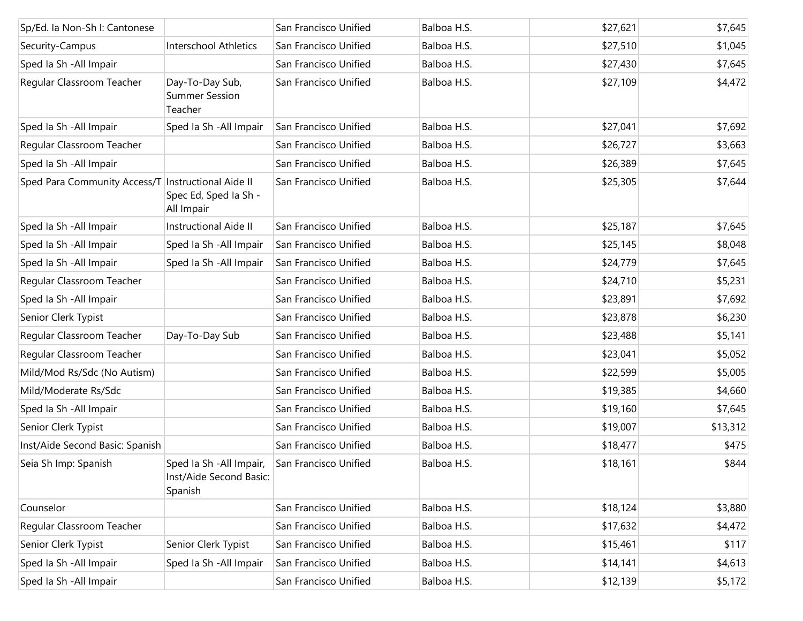| Sp/Ed. la Non-Sh I: Cantonese                        |                                                                | San Francisco Unified | Balboa H.S. | \$27,621 | \$7,645  |
|------------------------------------------------------|----------------------------------------------------------------|-----------------------|-------------|----------|----------|
| Security-Campus                                      | Interschool Athletics                                          | San Francisco Unified | Balboa H.S. | \$27,510 | \$1,045  |
| Sped Ia Sh - All Impair                              |                                                                | San Francisco Unified | Balboa H.S. | \$27,430 | \$7,645  |
| Regular Classroom Teacher                            | Day-To-Day Sub,<br><b>Summer Session</b><br>Teacher            | San Francisco Unified | Balboa H.S. | \$27,109 | \$4,472  |
| Sped Ia Sh - All Impair                              | Sped Ia Sh - All Impair                                        | San Francisco Unified | Balboa H.S. | \$27,041 | \$7,692  |
| Regular Classroom Teacher                            |                                                                | San Francisco Unified | Balboa H.S. | \$26,727 | \$3,663  |
| Sped Ia Sh - All Impair                              |                                                                | San Francisco Unified | Balboa H.S. | \$26,389 | \$7,645  |
| Sped Para Community Access/T   Instructional Aide II | Spec Ed, Sped Ia Sh -<br>All Impair                            | San Francisco Unified | Balboa H.S. | \$25,305 | \$7,644  |
| Sped Ia Sh - All Impair                              | Instructional Aide II                                          | San Francisco Unified | Balboa H.S. | \$25,187 | \$7,645  |
| Sped Ia Sh - All Impair                              | Sped Ia Sh - All Impair                                        | San Francisco Unified | Balboa H.S. | \$25,145 | \$8,048  |
| Sped Ia Sh - All Impair                              | Sped Ia Sh - All Impair                                        | San Francisco Unified | Balboa H.S. | \$24,779 | \$7,645  |
| Regular Classroom Teacher                            |                                                                | San Francisco Unified | Balboa H.S. | \$24,710 | \$5,231  |
| Sped la Sh - All Impair                              |                                                                | San Francisco Unified | Balboa H.S. | \$23,891 | \$7,692  |
| Senior Clerk Typist                                  |                                                                | San Francisco Unified | Balboa H.S. | \$23,878 | \$6,230  |
| Regular Classroom Teacher                            | Day-To-Day Sub                                                 | San Francisco Unified | Balboa H.S. | \$23,488 | \$5,141  |
| Regular Classroom Teacher                            |                                                                | San Francisco Unified | Balboa H.S. | \$23,041 | \$5,052  |
| Mild/Mod Rs/Sdc (No Autism)                          |                                                                | San Francisco Unified | Balboa H.S. | \$22,599 | \$5,005  |
| Mild/Moderate Rs/Sdc                                 |                                                                | San Francisco Unified | Balboa H.S. | \$19,385 | \$4,660  |
| Sped Ia Sh - All Impair                              |                                                                | San Francisco Unified | Balboa H.S. | \$19,160 | \$7,645  |
| Senior Clerk Typist                                  |                                                                | San Francisco Unified | Balboa H.S. | \$19,007 | \$13,312 |
| Inst/Aide Second Basic: Spanish                      |                                                                | San Francisco Unified | Balboa H.S. | \$18,477 | \$475    |
| Seia Sh Imp: Spanish                                 | Sped Ia Sh - All Impair,<br>Inst/Aide Second Basic:<br>Spanish | San Francisco Unified | Balboa H.S. | \$18,161 | \$844    |
| Counselor                                            |                                                                | San Francisco Unified | Balboa H.S. | \$18,124 | \$3,880  |
| Regular Classroom Teacher                            |                                                                | San Francisco Unified | Balboa H.S. | \$17,632 | \$4,472  |
| Senior Clerk Typist                                  | Senior Clerk Typist                                            | San Francisco Unified | Balboa H.S. | \$15,461 | \$117    |
| Sped Ia Sh - All Impair                              | Sped Ia Sh - All Impair                                        | San Francisco Unified | Balboa H.S. | \$14,141 | \$4,613  |
| Sped la Sh - All Impair                              |                                                                | San Francisco Unified | Balboa H.S. | \$12,139 | \$5,172  |